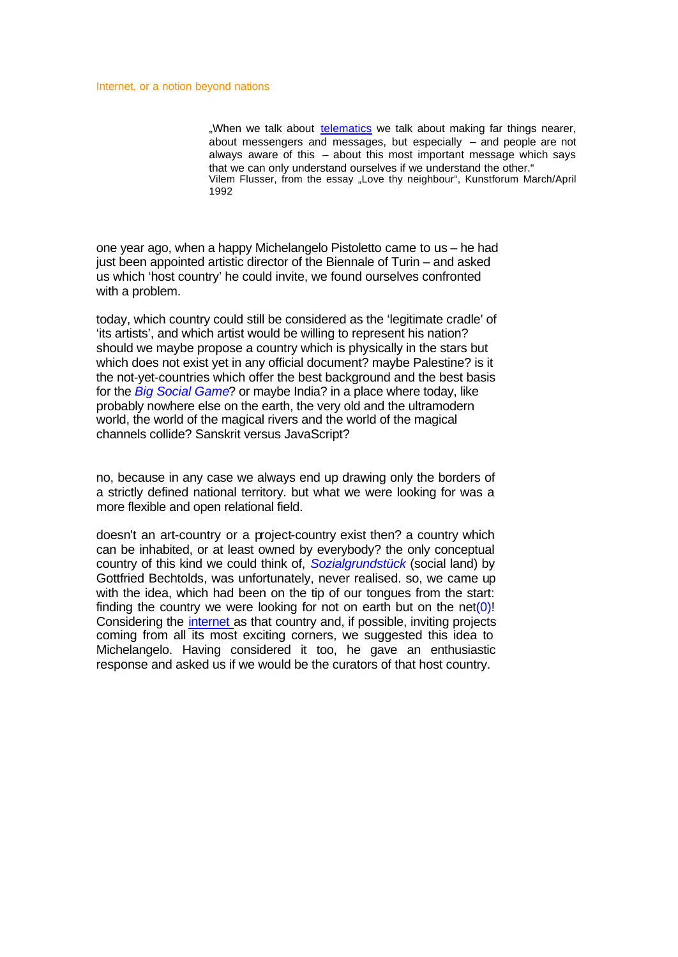"When we talk about telematics we talk about making far things nearer, about messengers and messages, but especially – and people are not always aware of this – about this most important message which says that we can only understand ourselves if we understand the other." Vilem Flusser, from the essay "Love thy neighbour", Kunstforum March/April 1992

one year ago, when a happy Michelangelo Pistoletto came to us – he had just been appointed artistic director of the Biennale of Turin – and asked us which 'host country' he could invite, we found ourselves confronted with a problem.

today, which country could still be considered as the 'legitimate cradle' of 'its artists', and which artist would be willing to represent his nation? should we maybe propose a country which is physically in the stars but which does not exist yet in any official document? maybe Palestine? is it the not-yet-countries which offer the best background and the best basis for the *Big Social Game*? or maybe India? in a place where today, like probably nowhere else on the earth, the very old and the ultramodern world, the world of the magical rivers and the world of the magical channels collide? Sanskrit versus JavaScript?

no, because in any case we always end up drawing only the borders of a strictly defined national territory. but what we were looking for was a more flexible and open relational field.

doesn't an art-country or a project-country exist then? a country which can be inhabited, or at least owned by everybody? the only conceptual country of this kind we could think of, *Sozialgrundstück* (social land) by Gottfried Bechtolds, was unfortunately, never realised. so, we came up with the idea, which had been on the tip of our tongues from the start: finding the country we were looking for not on earth but on the net(0)! Considering the internet as that country and, if possible, inviting projects coming from all its most exciting corners, we suggested this idea to Michelangelo. Having considered it too, he gave an enthusiastic response and asked us if we would be the curators of that host country.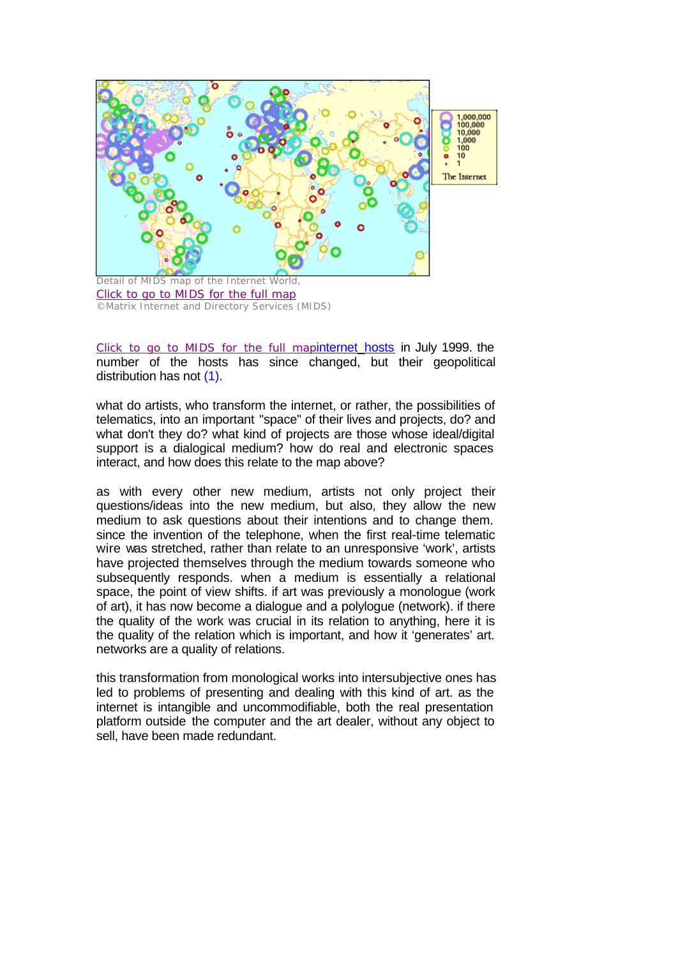

Click to go to MIDS for the full mapinternet hosts in July 1999. the number of the hosts has since changed, but their geopolitical distribution has not (1).

what do artists, who transform the internet, or rather, the possibilities of telematics, into an important "space" of their lives and projects, do? and what don't they do? what kind of projects are those whose ideal/digital support is a dialogical medium? how do real and electronic spaces interact, and how does this relate to the map above?

as with every other new medium, artists not only project their questions/ideas into the new medium, but also, they allow the new medium to ask questions about their intentions and to change them. since the invention of the telephone, when the first real-time telematic wire was stretched, rather than relate to an unresponsive 'work', artists have projected themselves through the medium towards someone who subsequently responds. when a medium is essentially a relational space, the point of view shifts. if art was previously a monologue (work of art), it has now become a dialogue and a polylogue (network). if there the quality of the work was crucial in its relation to anything, here it is the quality of the relation which is important, and how it 'generates' art. networks are a quality of relations.

this transformation from monological works into intersubjective ones has led to problems of presenting and dealing with this kind of art. as the internet is intangible and uncommodifiable, both the real presentation platform outside the computer and the art dealer, without any object to sell, have been made redundant.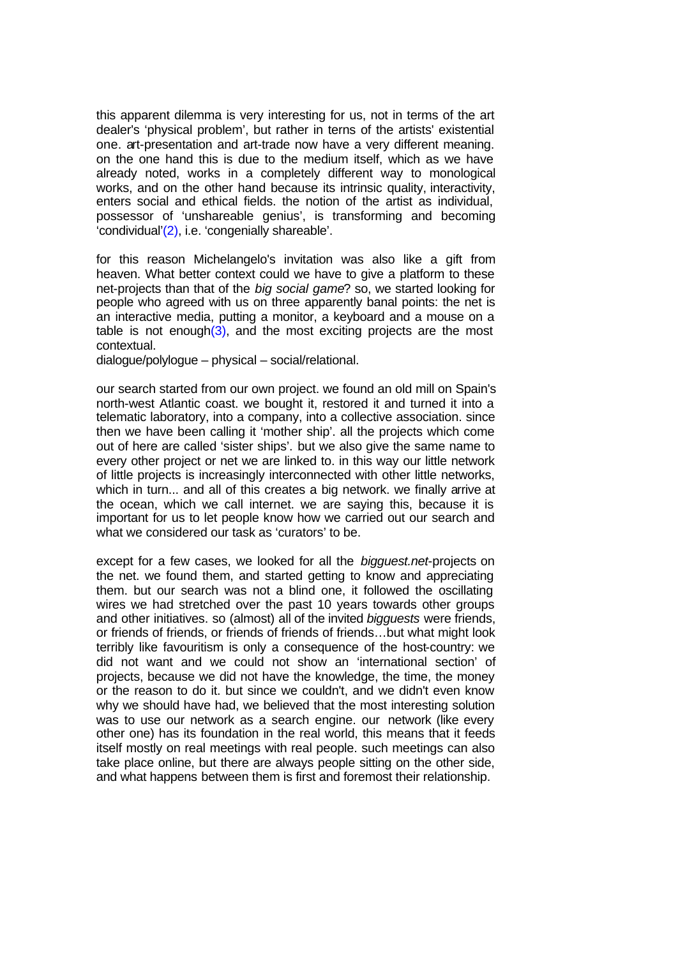this apparent dilemma is very interesting for us, not in terms of the art dealer's 'physical problem', but rather in terns of the artists' existential one. art-presentation and art-trade now have a very different meaning. on the one hand this is due to the medium itself, which as we have already noted, works in a completely different way to monological works, and on the other hand because its intrinsic quality, interactivity, enters social and ethical fields. the notion of the artist as individual, possessor of 'unshareable genius', is transforming and becoming 'condividual'(2), i.e. 'congenially shareable'.

for this reason Michelangelo's invitation was also like a gift from heaven. What better context could we have to give a platform to these net-projects than that of the *big social game*? so, we started looking for people who agreed with us on three apparently banal points: the net is an interactive media, putting a monitor, a keyboard and a mouse on a table is not enough $(3)$ , and the most exciting projects are the most contextual.

dialogue/polylogue – physical – social/relational.

our search started from our own project. we found an old mill on Spain's north-west Atlantic coast. we bought it, restored it and turned it into a telematic laboratory, into a company, into a collective association. since then we have been calling it 'mother ship'. all the projects which come out of here are called 'sister ships'. but we also give the same name to every other project or net we are linked to. in this way our little network of little projects is increasingly interconnected with other little networks, which in turn... and all of this creates a big network. we finally arrive at the ocean, which we call internet. we are saying this, because it is important for us to let people know how we carried out our search and what we considered our task as 'curators' to be.

except for a few cases, we looked for all the *bigguest.net*-projects on the net. we found them, and started getting to know and appreciating them. but our search was not a blind one, it followed the oscillating wires we had stretched over the past 10 years towards other groups and other initiatives. so (almost) all of the invited *bigguests* were friends, or friends of friends, or friends of friends of friends…but what might look terribly like favouritism is only a consequence of the host-country: we did not want and we could not show an 'international section' of projects, because we did not have the knowledge, the time, the money or the reason to do it. but since we couldn't, and we didn't even know why we should have had, we believed that the most interesting solution was to use our network as a search engine. our network (like every other one) has its foundation in the real world, this means that it feeds itself mostly on real meetings with real people. such meetings can also take place online, but there are always people sitting on the other side, and what happens between them is first and foremost their relationship.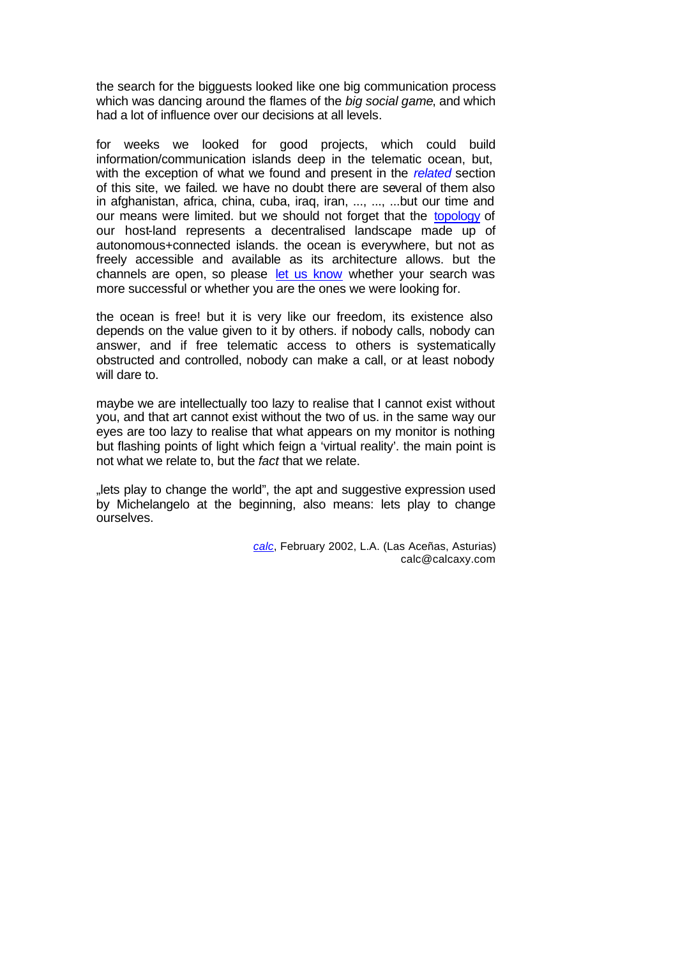the search for the bigguests looked like one big communication process which was dancing around the flames of the *big social game*, and which had a lot of influence over our decisions at all levels.

for weeks we looked for good projects, which could build information/communication islands deep in the telematic ocean, but, with the exception of what we found and present in the *related* section of this site, we failed*.* we have no doubt there are several of them also in afghanistan, africa, china, cuba, iraq, iran, ..., ..., ...but our time and our means were limited. but we should not forget that the topology of our host-land represents a decentralised landscape made up of autonomous+connected islands. the ocean is everywhere, but not as freely accessible and available as its architecture allows. but the channels are open, so please let us know whether your search was more successful or whether you are the ones we were looking for.

the ocean is free! but it is very like our freedom, its existence also depends on the value given to it by others. if nobody calls, nobody can answer, and if free telematic access to others is systematically obstructed and controlled, nobody can make a call, or at least nobody will dare to.

maybe we are intellectually too lazy to realise that I cannot exist without you, and that art cannot exist without the two of us. in the same way our eyes are too lazy to realise that what appears on my monitor is nothing but flashing points of light which feign a 'virtual reality'. the main point is not what we relate to, but the *fact* that we relate.

"lets play to change the world", the apt and suggestive expression used by Michelangelo at the beginning, also means: lets play to change ourselves.

> *calc*, February 2002, L.A. (Las Aceñas, Asturias) calc@calcaxy.com